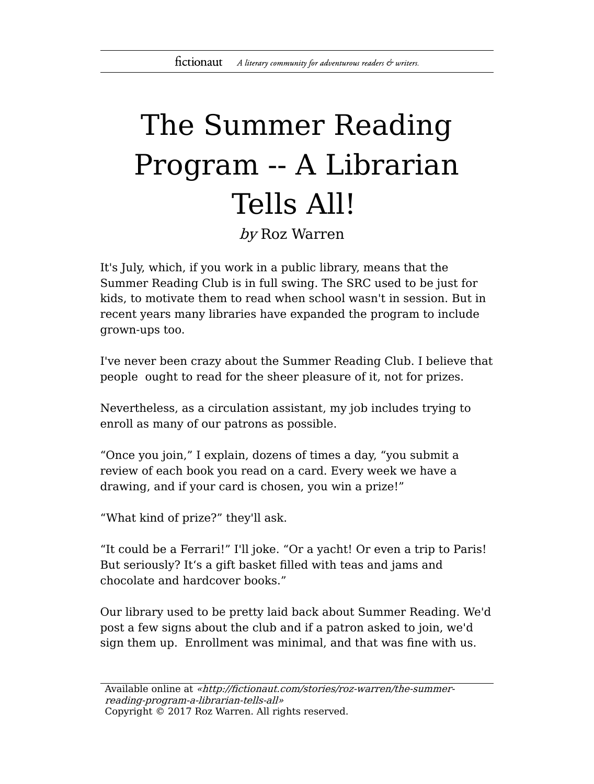## The Summer Reading Program -- A Librarian Tells All!

## by Roz Warren

It's July, which, if you work in a public library, means that the Summer Reading Club is in full swing. The SRC used to be just for kids, to motivate them to read when school wasn't in session. But in recent years many libraries have expanded the program to include grown-ups too.

I've never been crazy about the Summer Reading Club. I believe that people ought to read for the sheer pleasure of it, not for prizes.

Nevertheless, as a circulation assistant, my job includes trying to enroll as many of our patrons as possible.

"Once you join," I explain, dozens of times a day, "you submit a review of each book you read on a card. Every week we have a drawing, and if your card is chosen, you win a prize!"

"What kind of prize?" they'll ask.

"It could be a Ferrari!" I'll joke. "Or a yacht! Or even a trip to Paris! But seriously? It's a gift basket filled with teas and jams and chocolate and hardcover books."

Our library used to be pretty laid back about Summer Reading. We'd post a few signs about the club and if a patron asked to join, we'd sign them up. Enrollment was minimal, and that was fine with us.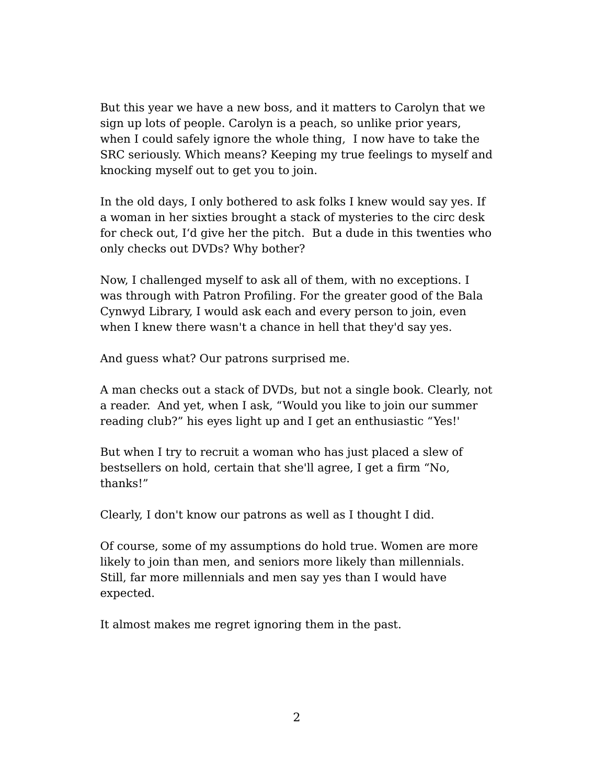But this year we have a new boss, and it matters to Carolyn that we sign up lots of people. Carolyn is a peach, so unlike prior years, when I could safely ignore the whole thing, I now have to take the SRC seriously. Which means? Keeping my true feelings to myself and knocking myself out to get you to join.

In the old days, I only bothered to ask folks I knew would say yes. If a woman in her sixties brought a stack of mysteries to the circ desk for check out, I'd give her the pitch. But a dude in this twenties who only checks out DVDs? Why bother?

Now, I challenged myself to ask all of them, with no exceptions. I was through with Patron Profiling. For the greater good of the Bala Cynwyd Library, I would ask each and every person to join, even when I knew there wasn't a chance in hell that they'd say yes.

And guess what? Our patrons surprised me.

A man checks out a stack of DVDs, but not a single book. Clearly, not a reader. And yet, when I ask, "Would you like to join our summer reading club?" his eyes light up and I get an enthusiastic "Yes!'

But when I try to recruit a woman who has just placed a slew of bestsellers on hold, certain that she'll agree, I get a firm "No, thanks!"

Clearly, I don't know our patrons as well as I thought I did.

Of course, some of my assumptions do hold true. Women are more likely to join than men, and seniors more likely than millennials. Still, far more millennials and men say yes than I would have expected.

It almost makes me regret ignoring them in the past.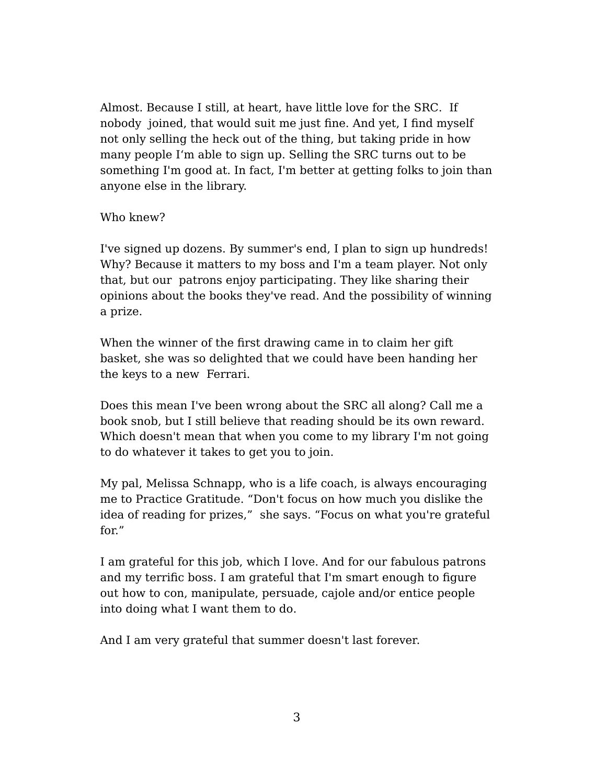Almost. Because I still, at heart, have little love for the SRC. If nobody joined, that would suit me just fine. And yet, I find myself not only selling the heck out of the thing, but taking pride in how many people I'm able to sign up. Selling the SRC turns out to be something I'm good at. In fact, I'm better at getting folks to join than anyone else in the library.

Who knew?

I've signed up dozens. By summer's end, I plan to sign up hundreds! Why? Because it matters to my boss and I'm a team player. Not only that, but our patrons enjoy participating. They like sharing their opinions about the books they've read. And the possibility of winning a prize.

When the winner of the first drawing came in to claim her gift basket, she was so delighted that we could have been handing her the keys to a new Ferrari.

Does this mean I've been wrong about the SRC all along? Call me a book snob, but I still believe that reading should be its own reward. Which doesn't mean that when you come to my library I'm not going to do whatever it takes to get you to join.

My pal, Melissa Schnapp, who is a life coach, is always encouraging me to Practice Gratitude. "Don't focus on how much you dislike the idea of reading for prizes," she says. "Focus on what you're grateful for"

I am grateful for this job, which I love. And for our fabulous patrons and my terrific boss. I am grateful that I'm smart enough to figure out how to con, manipulate, persuade, cajole and/or entice people into doing what I want them to do.

And I am very grateful that summer doesn't last forever.